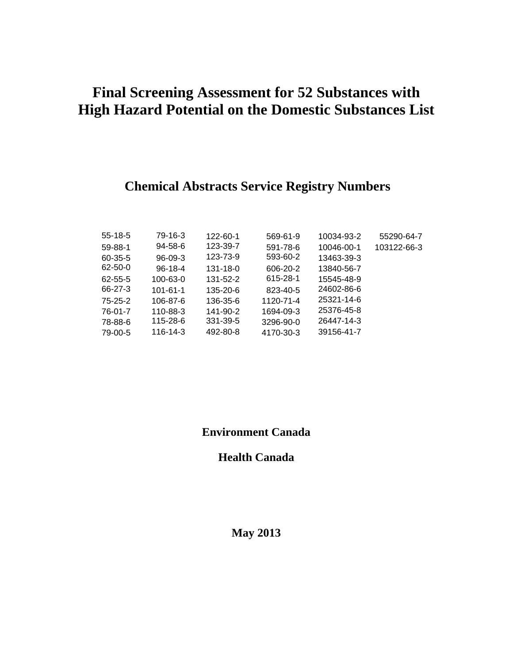# **Final Screening Assessment for 52 Substances with High Hazard Potential on the Domestic Substances List**

## **Chemical Abstracts Service Registry Numbers**

| $55-18-5$     | 79-16-3        | 122-60-1 | 569-61-9  | 10034-93-2 | 55290-64-7  |
|---------------|----------------|----------|-----------|------------|-------------|
| 59-88-1       | 94-58-6        | 123-39-7 | 591-78-6  | 10046-00-1 | 103122-66-3 |
| $60 - 35 - 5$ | $96-09-3$      | 123-73-9 | 593-60-2  | 13463-39-3 |             |
| $62 - 50 - 0$ | $96-18-4$      | 131-18-0 | 606-20-2  | 13840-56-7 |             |
| 62-55-5       | 100-63-0       | 131-52-2 | 615-28-1  | 15545-48-9 |             |
| 66-27-3       | $101 - 61 - 1$ | 135-20-6 | 823-40-5  | 24602-86-6 |             |
| $75 - 25 - 2$ | 106-87-6       | 136-35-6 | 1120-71-4 | 25321-14-6 |             |
| 76-01-7       | 110-88-3       | 141-90-2 | 1694-09-3 | 25376-45-8 |             |
| 78-88-6       | 115-28-6       | 331-39-5 | 3296-90-0 | 26447-14-3 |             |
| 79-00-5       | 116-14-3       | 492-80-8 | 4170-30-3 | 39156-41-7 |             |

### **Environment Canada**

**Health Canada** 

**May 2013**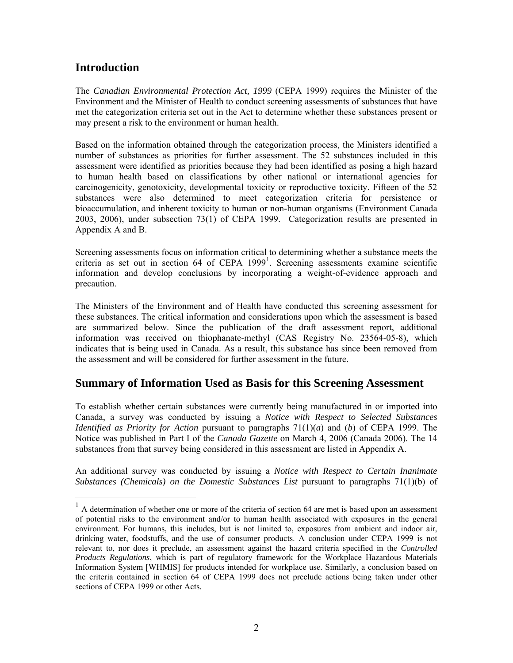#### **Introduction**

 $\overline{a}$ 

The *Canadian Environmental Protection Act, 1999* (CEPA 1999) requires the Minister of the Environment and the Minister of Health to conduct screening assessments of substances that have met the categorization criteria set out in the Act to determine whether these substances present or may present a risk to the environment or human health.

Based on the information obtained through the categorization process, the Ministers identified a number of substances as priorities for further assessment. The 52 substances included in this assessment were identified as priorities because they had been identified as posing a high hazard to human health based on classifications by other national or international agencies for carcinogenicity, genotoxicity, developmental toxicity or reproductive toxicity. Fifteen of the 52 substances were also determined to meet categorization criteria for persistence or bioaccumulation, and inherent toxicity to human or non-human organisms (Environment Canada 2003, 2006), under subsection 73(1) of CEPA 1999. Categorization results are presented in Appendix A and B.

Screening assessments focus on information critical to determining whether a substance meets the criteria as set out in section 64 of CEPA [1](#page-1-0)999<sup>1</sup>. Screening assessments examine scientific information and develop conclusions by incorporating a weight-of-evidence approach and precaution.

The Ministers of the Environment and of Health have conducted this screening assessment for these substances. The critical information and considerations upon which the assessment is based are summarized below. Since the publication of the draft assessment report, additional information was received on thiophanate-methyl (CAS Registry No. 23564-05-8), which indicates that is being used in Canada. As a result, this substance has since been removed from the assessment and will be considered for further assessment in the future.

#### **Summary of Information Used as Basis for this Screening Assessment**

To establish whether certain substances were currently being manufactured in or imported into Canada, a survey was conducted by issuing a *Notice with Respect to Selected Substances Identified as Priority for Action* pursuant to paragraphs 71(1)(*a*) and (*b*) of CEPA 1999. The Notice was published in Part I of the *Canada Gazette* on March 4, 2006 (Canada 2006). The 14 substances from that survey being considered in this assessment are listed in Appendix A.

An additional survey was conducted by issuing a *Notice with Respect to Certain Inanimate Substances (Chemicals) on the Domestic Substances List* pursuant to paragraphs 71(1)(b) of

<span id="page-1-0"></span> $<sup>1</sup>$  A determination of whether one or more of the criteria of section 64 are met is based upon an assessment</sup> of potential risks to the environment and/or to human health associated with exposures in the general environment. For humans, this includes, but is not limited to, exposures from ambient and indoor air, drinking water, foodstuffs, and the use of consumer products. A conclusion under CEPA 1999 is not relevant to, nor does it preclude, an assessment against the hazard criteria specified in the *Controlled Products Regulations*, which is part of regulatory framework for the Workplace Hazardous Materials Information System [WHMIS] for products intended for workplace use. Similarly, a conclusion based on the criteria contained in section 64 of CEPA 1999 does not preclude actions being taken under other sections of CEPA 1999 or other Acts.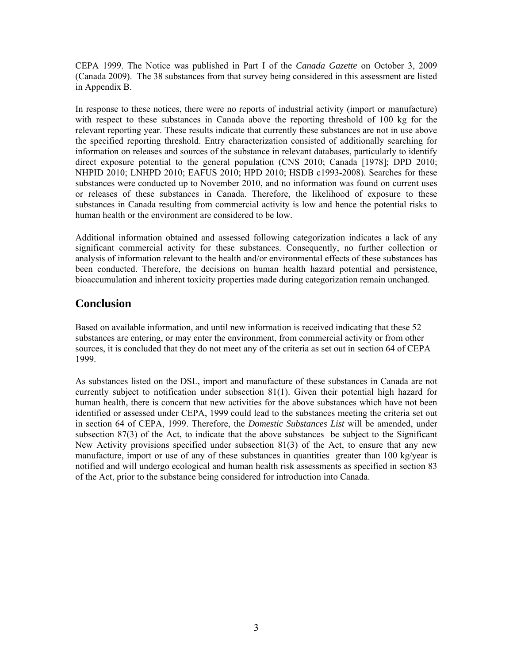CEPA 1999. The Notice was published in Part I of the *Canada Gazette* on October 3, 2009 (Canada 2009). The 38 substances from that survey being considered in this assessment are listed in Appendix B.

In response to these notices, there were no reports of industrial activity (import or manufacture) with respect to these substances in Canada above the reporting threshold of 100 kg for the relevant reporting year. These results indicate that currently these substances are not in use above the specified reporting threshold. Entry characterization consisted of additionally searching for information on releases and sources of the substance in relevant databases, particularly to identify direct exposure potential to the general population (CNS 2010; Canada [1978]; DPD 2010; NHPID 2010; LNHPD 2010; EAFUS 2010; HPD 2010; HSDB c1993-2008). Searches for these substances were conducted up to November 2010, and no information was found on current uses or releases of these substances in Canada. Therefore, the likelihood of exposure to these substances in Canada resulting from commercial activity is low and hence the potential risks to human health or the environment are considered to be low.

Additional information obtained and assessed following categorization indicates a lack of any significant commercial activity for these substances. Consequently, no further collection or analysis of information relevant to the health and/or environmental effects of these substances has been conducted. Therefore, the decisions on human health hazard potential and persistence, bioaccumulation and inherent toxicity properties made during categorization remain unchanged.

### **Conclusion**

Based on available information, and until new information is received indicating that these 52 substances are entering, or may enter the environment, from commercial activity or from other sources, it is concluded that they do not meet any of the criteria as set out in section 64 of CEPA 1999.

As substances listed on the DSL, import and manufacture of these substances in Canada are not currently subject to notification under subsection 81(1). Given their potential high hazard for human health, there is concern that new activities for the above substances which have not been identified or assessed under CEPA, 1999 could lead to the substances meeting the criteria set out in section 64 of CEPA, 1999. Therefore, the *Domestic Substances List* will be amended, under subsection  $87(3)$  of the Act, to indicate that the above substances be subject to the Significant New Activity provisions specified under subsection 81(3) of the Act, to ensure that any new manufacture, import or use of any of these substances in quantities greater than 100 kg/year is notified and will undergo ecological and human health risk assessments as specified in section 83 of the Act, prior to the substance being considered for introduction into Canada.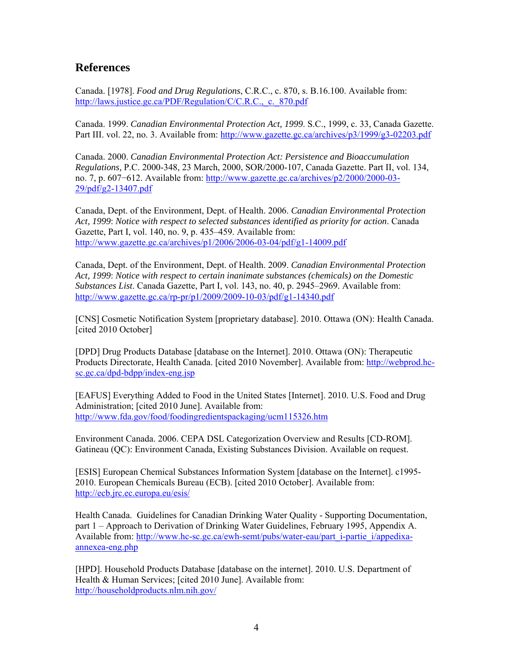#### **References**

Canada. [1978]. *Food and Drug Regulations*, C.R.C., c. 870, s. B.16.100. Available from: [http://laws.justice.gc.ca/PDF/Regulation/C/C.R.C.,\\_c.\\_870.pdf](http://laws.justice.gc.ca/PDF/Regulation/C/C.R.C.,_c._870.pdf_)

Canada. 1999. *Canadian Environmental Protection Act, 1999*. S.C., 1999, c. 33, Canada Gazette. Part III. vol. 22, no. 3. Available from:<http://www.gazette.gc.ca/archives/p3/1999/g3-02203.pdf>

Canada. 2000. *Canadian Environmental Protection Act: Persistence and Bioaccumulation Regulations,* P.C. 2000-348, 23 March, 2000, SOR/2000-107, Canada Gazette. Part II, vol. 134, no. 7, p. 607−612. Available from: [http://www.gazette.gc.ca/archives/p2/2000/2000-03-](http://www.gazette.gc.ca/archives/p2/2000/2000-03-29/pdf/g2-13407.pdf) [29/pdf/g2-13407.pdf](http://www.gazette.gc.ca/archives/p2/2000/2000-03-29/pdf/g2-13407.pdf)

Canada, Dept. of the Environment, Dept. of Health. 2006. *Canadian Environmental Protection Act, 1999*: *Notice with respect to selected substances identified as priority for action*. Canada Gazette, Part I, vol. 140, no. 9, p. 435–459. Available from: <http://www.gazette.gc.ca/archives/p1/2006/2006-03-04/pdf/g1-14009.pdf>

Canada, Dept. of the Environment, Dept. of Health. 2009. *Canadian Environmental Protection Act, 1999*: *Notice with respect to certain inanimate substances (chemicals) on the Domestic Substances List*. Canada Gazette, Part I, vol. 143, no. 40, p. 2945–2969. Available from: <http://www.gazette.gc.ca/rp-pr/p1/2009/2009-10-03/pdf/g1-14340.pdf>

[CNS] Cosmetic Notification System [proprietary database]. 2010. Ottawa (ON): Health Canada. [cited 2010 October]

[DPD] Drug Products Database [database on the Internet]. 2010. Ottawa (ON): Therapeutic Products Directorate, Health Canada. [cited 2010 November]. Available from: [http://webprod.hc](http://webprod.hc-sc.gc.ca/dpd-bdpp/index-eng.jsp)[sc.gc.ca/dpd-bdpp/index-eng.jsp](http://webprod.hc-sc.gc.ca/dpd-bdpp/index-eng.jsp) 

[EAFUS] Everything Added to Food in the United States [Internet]. 2010. U.S. Food and Drug Administration; [cited 2010 June]. Available from: <http://www.fda.gov/food/foodingredientspackaging/ucm115326.htm>

Environment Canada. 2006. CEPA DSL Categorization Overview and Results [CD-ROM]. Gatineau (QC): Environment Canada, Existing Substances Division. Available on request.

[ESIS] European Chemical Substances Information System [database on the Internet]. c1995- 2010. European Chemicals Bureau (ECB). [cited 2010 October]. Available from: <http://ecb.jrc.ec.europa.eu/esis/>

Health Canada. Guidelines for Canadian Drinking Water Quality - Supporting Documentation, part 1 – Approach to Derivation of Drinking Water Guidelines, February 1995, Appendix A. Available from: [http://www.hc-sc.gc.ca/ewh-semt/pubs/water-eau/part\\_i-partie\\_i/appedixa](http://www.hc-sc.gc.ca/ewh-semt/pubs/water-eau/part_i-partie_i/appedixa-annexea-eng.php)[annexea-eng.php](http://www.hc-sc.gc.ca/ewh-semt/pubs/water-eau/part_i-partie_i/appedixa-annexea-eng.php) 

[HPD]. Household Products Database [database on the internet]. 2010. U.S. Department of Health & Human Services; [cited 2010 June]. Available from: <http://householdproducts.nlm.nih.gov/>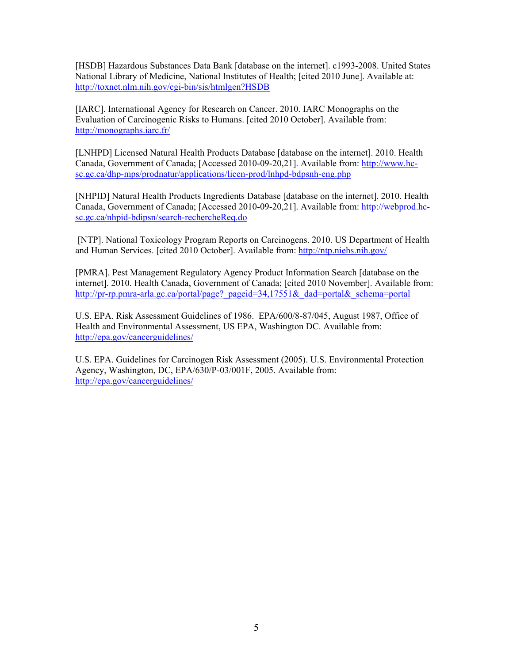[HSDB] Hazardous Substances Data Bank [database on the internet]. c1993-2008. United States National Library of Medicine, National Institutes of Health; [cited 2010 June]. Available at: <http://toxnet.nlm.nih.gov/cgi-bin/sis/htmlgen?HSDB>

[IARC]. International Agency for Research on Cancer. 2010. IARC Monographs on the Evaluation of Carcinogenic Risks to Humans. [cited 2010 October]. Available from: <http://monographs.iarc.fr/>

[LNHPD] Licensed Natural Health Products Database [database on the internet]. 2010. Health Canada, Government of Canada; [Accessed 2010-09-20,21]. Available from: [http://www.hc](http://www.hc-sc.gc.ca/dhp-mps/prodnatur/applications/licen-prod/lnhpd-bdpsnh-eng.php)[sc.gc.ca/dhp-mps/prodnatur/applications/licen-prod/lnhpd-bdpsnh-eng.php](http://www.hc-sc.gc.ca/dhp-mps/prodnatur/applications/licen-prod/lnhpd-bdpsnh-eng.php)

[NHPID] Natural Health Products Ingredients Database [database on the internet]. 2010. Health Canada, Government of Canada; [Accessed 2010-09-20,21]. Available from: [http://webprod.hc](http://webprod.hc-sc.gc.ca/nhpid-bdipsn/search-rechercheReq.do)[sc.gc.ca/nhpid-bdipsn/search-rechercheReq.do](http://webprod.hc-sc.gc.ca/nhpid-bdipsn/search-rechercheReq.do) 

 [NTP]. National Toxicology Program Reports on Carcinogens. 2010. US Department of Health and Human Services. [cited 2010 October]. Available from:<http://ntp.niehs.nih.gov/>

[PMRA]. Pest Management Regulatory Agency Product Information Search [database on the internet]. 2010. Health Canada, Government of Canada; [cited 2010 November]. Available from: http://pr-rp.pmra-arla.gc.ca/portal/page? pageid=34,17551& dad=portal& schema=portal

U.S. EPA. Risk Assessment Guidelines of 1986. EPA/600/8-87/045, August 1987, Office of Health and Environmental Assessment, US EPA, Washington DC. Available from: <http://epa.gov/cancerguidelines/>

U.S. EPA. Guidelines for Carcinogen Risk Assessment (2005). U.S. Environmental Protection Agency, Washington, DC, EPA/630/P-03/001F, 2005. Available from: <http://epa.gov/cancerguidelines/>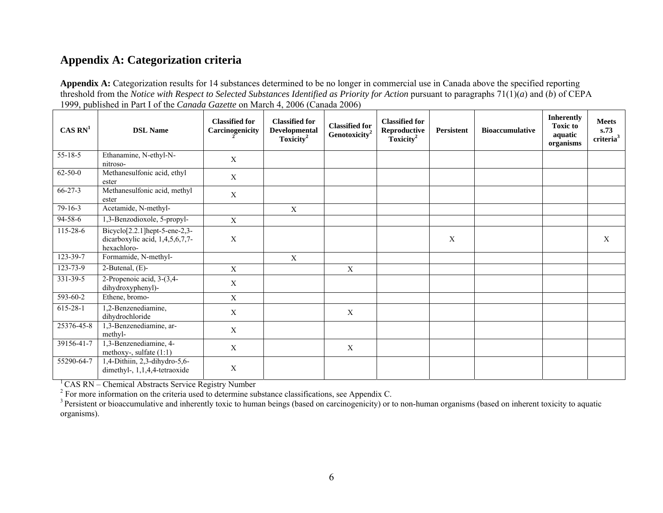## **Appendix A: Categorization criteria**

**Appendix A:** Categorization results for 14 substances determined to be no longer in commercial use in Canada above the specified reporting threshold from the *Notice with Respect to Selected Substances Identified as Priority for Action* pursuant to paragraphs  $71(1)(a)$  and (*b*) of CEPA 1999, published in Part I of the *Canada Gazette* on March 4, 2006 (Canada 2006)

| CAS RN <sup>1</sup> | <b>DSL Name</b>                                                                   | <b>Classified for</b><br>Carcinogenicity | <b>Classified for</b><br>Developmental<br>Toxicity <sup>2</sup> | <b>Classified for</b><br>Genotoxicity <sup>2</sup> | <b>Classified for</b><br>Reproductive<br>Toxicity <sup>2</sup> | Persistent | <b>Bioaccumulative</b> | <b>Inherently</b><br><b>Toxic to</b><br>aquatic<br>organisms | <b>Meets</b><br>s.73<br>criteria <sup>3</sup> |
|---------------------|-----------------------------------------------------------------------------------|------------------------------------------|-----------------------------------------------------------------|----------------------------------------------------|----------------------------------------------------------------|------------|------------------------|--------------------------------------------------------------|-----------------------------------------------|
| $55 - 18 - 5$       | Ethanamine, N-ethyl-N-<br>nitroso-                                                | X                                        |                                                                 |                                                    |                                                                |            |                        |                                                              |                                               |
| $62 - 50 - 0$       | Methanesulfonic acid, ethyl<br>ester                                              | X                                        |                                                                 |                                                    |                                                                |            |                        |                                                              |                                               |
| $66 - 27 - 3$       | Methanesulfonic acid, methyl<br>ester                                             | X                                        |                                                                 |                                                    |                                                                |            |                        |                                                              |                                               |
| $79-16-3$           | Acetamide, N-methyl-                                                              |                                          | X                                                               |                                                    |                                                                |            |                        |                                                              |                                               |
| 94-58-6             | 1,3-Benzodioxole, 5-propyl-                                                       | $\mathbf X$                              |                                                                 |                                                    |                                                                |            |                        |                                                              |                                               |
| 115-28-6            | $Bicyclo[2.2.1]hept-5-ene-2,3-$<br>dicarboxylic acid, 1,4,5,6,7,7-<br>hexachloro- | $\mathbf X$                              |                                                                 |                                                    |                                                                | X          |                        |                                                              | X                                             |
| 123-39-7            | Formamide, N-methyl-                                                              |                                          | $\boldsymbol{\mathrm{X}}$                                       |                                                    |                                                                |            |                        |                                                              |                                               |
| $123 - 73 - 9$      | 2-Butenal, $(E)$ -                                                                | $\mathbf X$                              |                                                                 | $\mathbf X$                                        |                                                                |            |                        |                                                              |                                               |
| 331-39-5            | 2-Propenoic acid, 3-(3,4-<br>dihydroxyphenyl)-                                    | $\mathbf X$                              |                                                                 |                                                    |                                                                |            |                        |                                                              |                                               |
| $593 - 60 - 2$      | Ethene, bromo-                                                                    | $\mathbf X$                              |                                                                 |                                                    |                                                                |            |                        |                                                              |                                               |
| 615-28-1            | 1,2-Benzenediamine,<br>dihydrochloride                                            | $\mathbf{X}$                             |                                                                 | $\mathbf{X}$                                       |                                                                |            |                        |                                                              |                                               |
| 25376-45-8          | 1,3-Benzenediamine, ar-<br>methyl-                                                | X                                        |                                                                 |                                                    |                                                                |            |                        |                                                              |                                               |
| 39156-41-7          | 1,3-Benzenediamine, 4-<br>methoxy-, sulfate $(1:1)$                               | X                                        |                                                                 | $\mathbf{X}$                                       |                                                                |            |                        |                                                              |                                               |
| 55290-64-7          | 1,4-Dithiin, 2,3-dihydro-5,6-<br>dimethyl-, 1,1,4,4-tetraoxide                    | X                                        |                                                                 |                                                    |                                                                |            |                        |                                                              |                                               |

 $1$  CAS RN – Chemical Abstracts Service Registry Number

 $2^2$  For more information on the criteria used to determine substance classifications, see Appendix C.

 $3$  Persistent or bioaccumulative and inherently toxic to human beings (based on carcinogenicity) or to non-human organisms (based on inherent toxicity to aquatic organisms).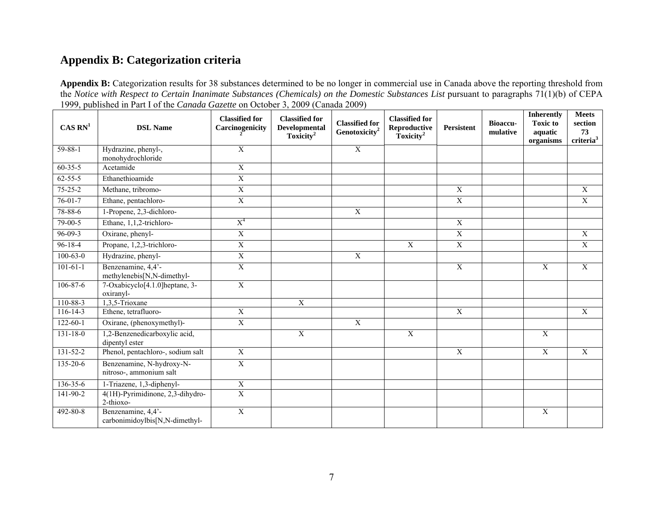## **Appendix B: Categorization criteria**

Appendix B: Categorization results for 38 substances determined to be no longer in commercial use in Canada above the reporting threshold from the *Notice with Respect to Certain Inanimate Substances (Chemicals) on the Domestic Substances List pursuant to paragraphs 71(1)(b) of CEPA* 1999, published in Part I of the *Canada Gazette* on October 3, 2009 (Canada 2009)

| CAS RN <sup>1</sup> | <b>DSL Name</b>                                          | <b>Classified for</b><br>Carcinogenicity | <b>Classified for</b><br>Developmental<br>Toxicity <sup>2</sup> | <b>Classified for</b><br>Genotoxicity <sup>2</sup> | <b>Classified for</b><br>Reproductive<br>Toxicity <sup>2</sup> | <b>Persistent</b> | <b>Bioaccu-</b><br>mulative | <b>Inherently</b><br><b>Toxic to</b><br>aquatic<br>organisms | <b>Meets</b><br>section<br>73<br>criteria <sup>3</sup> |
|---------------------|----------------------------------------------------------|------------------------------------------|-----------------------------------------------------------------|----------------------------------------------------|----------------------------------------------------------------|-------------------|-----------------------------|--------------------------------------------------------------|--------------------------------------------------------|
| $59 - 88 - 1$       | Hydrazine, phenyl-,<br>monohydrochloride                 | $\mathbf X$                              |                                                                 | $\overline{X}$                                     |                                                                |                   |                             |                                                              |                                                        |
| $60 - 35 - 5$       | Acetamide                                                | $\overline{X}$                           |                                                                 |                                                    |                                                                |                   |                             |                                                              |                                                        |
| $62 - 55 - 5$       | Ethanethioamide                                          | $\overline{X}$                           |                                                                 |                                                    |                                                                |                   |                             |                                                              |                                                        |
| $75 - 25 - 2$       | Methane, tribromo-                                       | $\overline{X}$                           |                                                                 |                                                    |                                                                | $\overline{X}$    |                             |                                                              | X                                                      |
| $76 - 01 - 7$       | Ethane, pentachloro-                                     | $\mathbf X$                              |                                                                 |                                                    |                                                                | $\mathbf X$       |                             |                                                              | $\mathbf X$                                            |
| 78-88-6             | 1-Propene, 2,3-dichloro-                                 |                                          |                                                                 | $\overline{X}$                                     |                                                                |                   |                             |                                                              |                                                        |
| $79 - 00 - 5$       | Ethane, 1,1,2-trichloro-                                 | $X^4$                                    |                                                                 |                                                    |                                                                | $\overline{X}$    |                             |                                                              |                                                        |
| $96-09-3$           | Oxirane, phenyl-                                         | $\overline{X}$                           |                                                                 |                                                    |                                                                | $\overline{X}$    |                             |                                                              | $\mathbf X$                                            |
| $96-18-4$           | Propane, 1,2,3-trichloro-                                | $\overline{\textbf{X}}$                  |                                                                 |                                                    | $\overline{X}$                                                 | $\overline{X}$    |                             |                                                              | $\overline{X}$                                         |
| $100-63-0$          | Hydrazine, phenyl-                                       | $\mathbf X$                              |                                                                 | $\overline{X}$                                     |                                                                |                   |                             |                                                              |                                                        |
| $101 - 61 - 1$      | Benzenamine, 4,4'-<br>methylenebis[N,N-dimethyl-         | $\mathbf X$                              |                                                                 |                                                    |                                                                | $\mathbf X$       |                             | $\boldsymbol{X}$                                             | $\mathbf X$                                            |
| $106 - 87 - 6$      | 7-Oxabicyclo <sup>[4.1.0]</sup> heptane, 3-<br>oxiranyl- | $\overline{X}$                           |                                                                 |                                                    |                                                                |                   |                             |                                                              |                                                        |
| 110-88-3            | 1,3,5-Trioxane                                           |                                          | $\overline{X}$                                                  |                                                    |                                                                |                   |                             |                                                              |                                                        |
| $116 - 14 - 3$      | Ethene, tetrafluoro-                                     | $\overline{X}$                           |                                                                 |                                                    |                                                                | $\overline{X}$    |                             |                                                              | $\overline{X}$                                         |
| $122 - 60 - 1$      | Oxirane, (phenoxymethyl)-                                | $\overline{X}$                           |                                                                 | $\overline{X}$                                     |                                                                |                   |                             |                                                              |                                                        |
| $131 - 18 - 0$      | 1,2-Benzenedicarboxylic acid,<br>dipentyl ester          |                                          | $\overline{X}$                                                  |                                                    | $\overline{X}$                                                 |                   |                             | $\overline{X}$                                               |                                                        |
| $131 - 52 - 2$      | Phenol, pentachloro-, sodium salt                        | $\overline{X}$                           |                                                                 |                                                    |                                                                | X                 |                             | $\mathbf X$                                                  | $\mathbf X$                                            |
| $135 - 20 - 6$      | Benzenamine, N-hydroxy-N-<br>nitroso-, ammonium salt     | $\overline{X}$                           |                                                                 |                                                    |                                                                |                   |                             |                                                              |                                                        |
| 136-35-6            | 1-Triazene, 1,3-diphenyl-                                | $\overline{X}$                           |                                                                 |                                                    |                                                                |                   |                             |                                                              |                                                        |
| $141 - 90 - 2$      | 4(1H)-Pyrimidinone, 2,3-dihydro-<br>2-thioxo-            | $\overline{X}$                           |                                                                 |                                                    |                                                                |                   |                             |                                                              |                                                        |
| 492-80-8            | Benzenamine, 4,4'-<br>carbonimidoylbis[N,N-dimethyl-     | $\mathbf X$                              |                                                                 |                                                    |                                                                |                   |                             | $\mathbf X$                                                  |                                                        |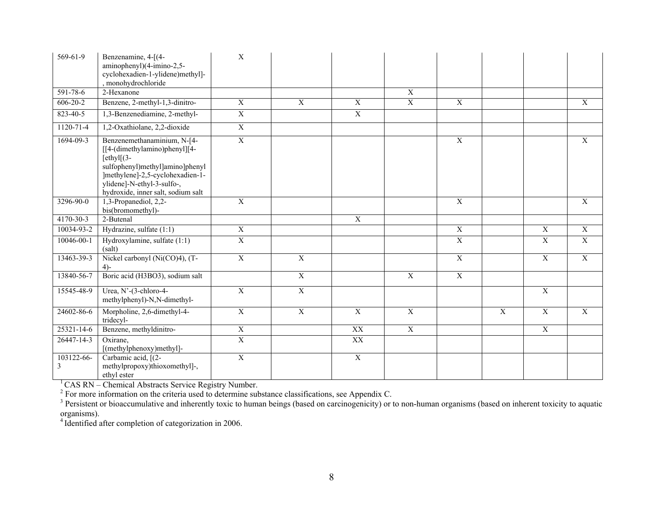| 569-61-9        | Benzenamine, 4-[(4-<br>aminophenyl)(4-imino-2,5-<br>cyclohexadien-1-ylidene)methyl]-<br>, monohydrochloride                                                                                                              | $\mathbf{X}$   |                |                |                |                           |                           |                           |                           |
|-----------------|--------------------------------------------------------------------------------------------------------------------------------------------------------------------------------------------------------------------------|----------------|----------------|----------------|----------------|---------------------------|---------------------------|---------------------------|---------------------------|
| 591-78-6        | 2-Hexanone                                                                                                                                                                                                               |                |                |                | $\overline{X}$ |                           |                           |                           |                           |
| $606 - 20 - 2$  | Benzene, 2-methyl-1,3-dinitro-                                                                                                                                                                                           | $\overline{X}$ | $\overline{X}$ | $\overline{X}$ | $\overline{X}$ | $\overline{X}$            |                           |                           | X                         |
| $823 - 40 - 5$  | 1,3-Benzenediamine, 2-methyl-                                                                                                                                                                                            | $\overline{X}$ |                | $\overline{X}$ |                |                           |                           |                           |                           |
| $1120 - 71 - 4$ | 1,2-Oxathiolane, 2,2-dioxide                                                                                                                                                                                             | $\overline{X}$ |                |                |                |                           |                           |                           |                           |
| 1694-09-3       | Benzenemethanaminium, N-[4-<br>[[4-(dimethylamino)phenyl][4-<br>$[ethyl](3-)$<br>sulfophenyl)methyl]amino]phenyl<br>]methylene]-2,5-cyclohexadien-1-<br>ylidene]-N-ethyl-3-sulfo-,<br>hydroxide, inner salt, sodium salt | $\overline{X}$ |                |                |                | $\overline{X}$            |                           |                           | $\boldsymbol{\mathrm{X}}$ |
| 3296-90-0       | 1,3-Propanediol, 2,2-<br>bis(bromomethyl)-                                                                                                                                                                               | $\overline{X}$ |                |                |                | $\overline{X}$            |                           |                           | $\mathbf X$               |
| $4170 - 30 - 3$ | 2-Butenal                                                                                                                                                                                                                |                |                | $\overline{X}$ |                |                           |                           |                           |                           |
| 10034-93-2      | Hydrazine, sulfate (1:1)                                                                                                                                                                                                 | $\overline{X}$ |                |                |                | $\boldsymbol{\mathrm{X}}$ |                           | $\boldsymbol{\mathrm{X}}$ | X                         |
| 10046-00-1      | Hydroxylamine, sulfate (1:1)<br>(salt)                                                                                                                                                                                   | $\overline{X}$ |                |                |                | $\overline{X}$            |                           | $\overline{X}$            | $\overline{X}$            |
| 13463-39-3      | Nickel carbonyl (Ni(CO)4), (T-<br>$4) -$                                                                                                                                                                                 | $\overline{X}$ | $\overline{X}$ |                |                | $\overline{X}$            |                           | $\overline{X}$            | $\overline{X}$            |
| 13840-56-7      | Boric acid (H3BO3), sodium salt                                                                                                                                                                                          |                | $\overline{X}$ |                | $\overline{X}$ | $\overline{X}$            |                           |                           |                           |
| 15545-48-9      | Urea, N'-(3-chloro-4-<br>methylphenyl)-N,N-dimethyl-                                                                                                                                                                     | $\overline{X}$ | $\overline{X}$ |                |                |                           |                           | $\overline{X}$            |                           |
| 24602-86-6      | Morpholine, 2,6-dimethyl-4-<br>tridecyl-                                                                                                                                                                                 | $\overline{X}$ | $\overline{X}$ | $\overline{X}$ | $\overline{X}$ |                           | $\boldsymbol{\mathrm{X}}$ | $\boldsymbol{\mathrm{X}}$ | $\boldsymbol{\mathrm{X}}$ |
| 25321-14-6      | Benzene, methyldinitro-                                                                                                                                                                                                  | $\overline{X}$ |                | XX             | $\overline{X}$ |                           |                           | $\overline{X}$            |                           |
| 26447-14-3      | Oxirane,<br>[(methylphenoxy)methyl]-                                                                                                                                                                                     | $\overline{X}$ |                | XX             |                |                           |                           |                           |                           |
| 103122-66-<br>3 | Carbamic acid, [(2-<br>methylpropoxy)thioxomethyl]-,<br>ethyl ester                                                                                                                                                      | $\overline{X}$ |                | $\overline{X}$ |                |                           |                           |                           |                           |

 $1$  CAS RN – Chemical Abstracts Service Registry Number.

 $2^2$  For more information on the criteria used to determine substance classifications, see Appendix C.

 $3$  Persistent or bioaccumulative and inherently toxic to human beings (based on carcinogenicity) or to non-human organisms (based on inherent toxicity to aquatic organisms).

<sup>4</sup> Identified after completion of categorization in 2006.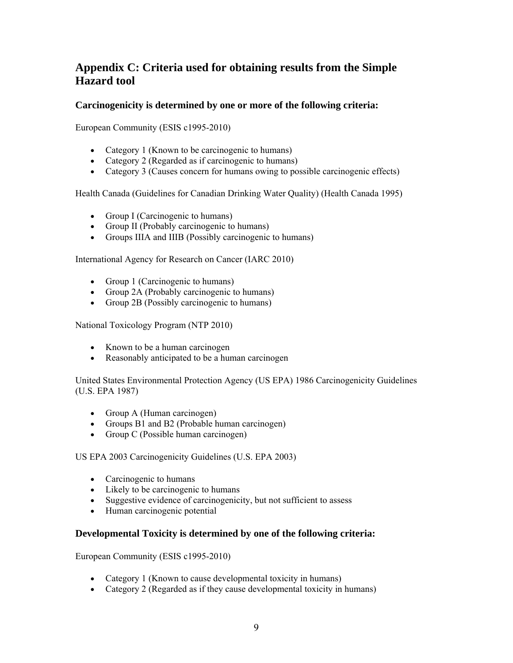## **Appendix C: Criteria used for obtaining results from the Simple Hazard tool**

#### **Carcinogenicity is determined by one or more of the following criteria:**

European Community (ESIS c1995-2010)

- Category 1 (Known to be carcinogenic to humans)
- Category 2 (Regarded as if carcinogenic to humans)
- Category 3 (Causes concern for humans owing to possible carcinogenic effects)

Health Canada (Guidelines for Canadian Drinking Water Quality) (Health Canada 1995)

- Group I (Carcinogenic to humans)
- Group II (Probably carcinogenic to humans)
- Groups IIIA and IIIB (Possibly carcinogenic to humans)

International Agency for Research on Cancer (IARC 2010)

- Group 1 (Carcinogenic to humans)
- Group 2A (Probably carcinogenic to humans)
- Group 2B (Possibly carcinogenic to humans)

National Toxicology Program (NTP 2010)

- Known to be a human carcinogen
- Reasonably anticipated to be a human carcinogen

United States Environmental Protection Agency (US EPA) 1986 Carcinogenicity Guidelines (U.S. EPA 1987)

- Group A (Human carcinogen)
- Groups B1 and B2 (Probable human carcinogen)
- Group C (Possible human carcinogen)

US EPA 2003 Carcinogenicity Guidelines (U.S. EPA 2003)

- Carcinogenic to humans
- Likely to be carcinogenic to humans
- Suggestive evidence of carcinogenicity, but not sufficient to assess
- Human carcinogenic potential

#### **Developmental Toxicity is determined by one of the following criteria:**

European Community (ESIS c1995-2010)

- Category 1 (Known to cause developmental toxicity in humans)
- Category 2 (Regarded as if they cause developmental toxicity in humans)